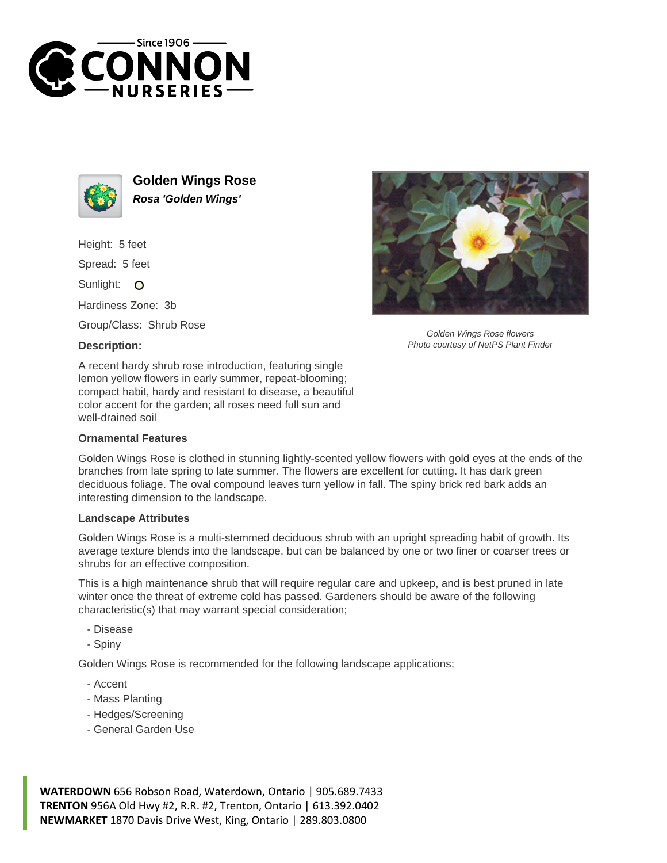



**Golden Wings Rose Rosa 'Golden Wings'**

Height: 5 feet

Spread: 5 feet

Sunlight: O

Hardiness Zone: 3b

Group/Class: Shrub Rose

## **Description:**



## **Ornamental Features**

Golden Wings Rose is clothed in stunning lightly-scented yellow flowers with gold eyes at the ends of the branches from late spring to late summer. The flowers are excellent for cutting. It has dark green deciduous foliage. The oval compound leaves turn yellow in fall. The spiny brick red bark adds an interesting dimension to the landscape.

## **Landscape Attributes**

Golden Wings Rose is a multi-stemmed deciduous shrub with an upright spreading habit of growth. Its average texture blends into the landscape, but can be balanced by one or two finer or coarser trees or shrubs for an effective composition.

This is a high maintenance shrub that will require regular care and upkeep, and is best pruned in late winter once the threat of extreme cold has passed. Gardeners should be aware of the following characteristic(s) that may warrant special consideration;

- Disease

- Spiny

Golden Wings Rose is recommended for the following landscape applications;

- Accent
- Mass Planting
- Hedges/Screening
- General Garden Use



**WATERDOWN** 656 Robson Road, Waterdown, Ontario | 905.689.7433 **TRENTON** 956A Old Hwy #2, R.R. #2, Trenton, Ontario | 613.392.0402 **NEWMARKET** 1870 Davis Drive West, King, Ontario | 289.803.0800



Golden Wings Rose flowers Photo courtesy of NetPS Plant Finder